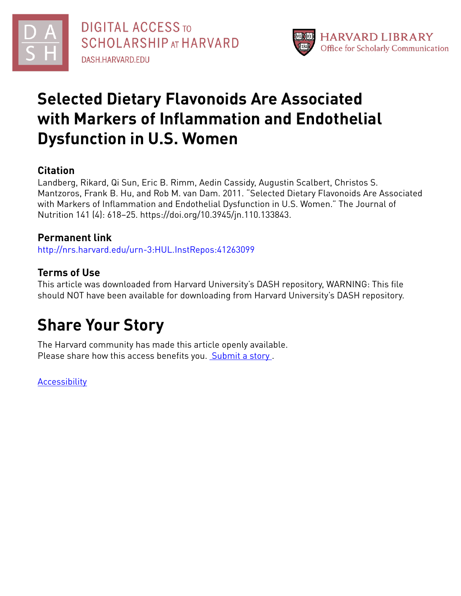

# **Selected Dietary Flavonoids Are Associated with Markers of Inflammation and Endothelial Dysfunction in U.S. Women**

### **Citation**

Landberg, Rikard, Qi Sun, Eric B. Rimm, Aedin Cassidy, Augustin Scalbert, Christos S. Mantzoros, Frank B. Hu, and Rob M. van Dam. 2011. "Selected Dietary Flavonoids Are Associated with Markers of Inflammation and Endothelial Dysfunction in U.S. Women." The Journal of Nutrition 141 (4): 618–25. https://doi.org/10.3945/jn.110.133843.

### **Permanent link**

<http://nrs.harvard.edu/urn-3:HUL.InstRepos:41263099>

## **Terms of Use**

This article was downloaded from Harvard University's DASH repository, WARNING: This file should NOT have been available for downloading from Harvard University's DASH repository.

# **Share Your Story**

The Harvard community has made this article openly available. Please share how this access benefits you. [Submit](http://osc.hul.harvard.edu/dash/open-access-feedback?handle=&title=Selected%20Dietary%20Flavonoids%20Are%20Associated%20with%20Markers%20of%20Inflammation%20and%20Endothelial%20Dysfunction%20in%20U.S.%20Women&community=1/4454687&collection=1/4454688&owningCollection1/4454688&harvardAuthors=be967e25d0f5f9d7f1410a6d7739d8f5&department) a story.

**[Accessibility](https://dash.harvard.edu/pages/accessibility)**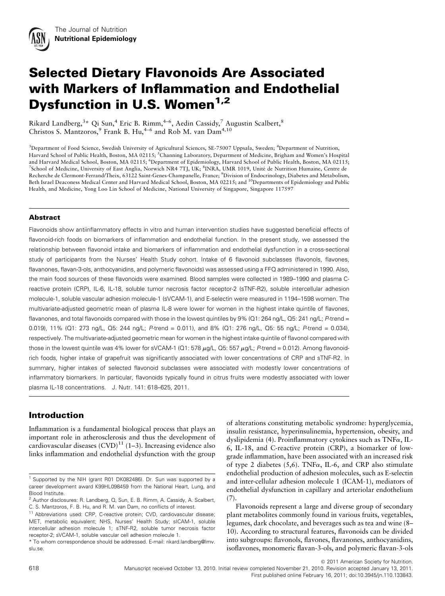## Selected Dietary Flavonoids Are Associated with Markers of Inflammation and Endothelial Dysfunction in U.S. Women<sup>1,2</sup>

Rikard Landberg,<sup>3</sup>\* Qi Sun,<sup>4</sup> Eric B. Rimm,<sup>4–6</sup>, Aedin Cassidy,<sup>7</sup> Augustin Scalbert,<sup>8</sup> Christos S. Mantzoros,<sup>9</sup> Frank B. Hu,<sup>4–6</sup> and Rob M. van Dam<sup>4,10</sup>

<sup>3</sup>Department of Food Science, Swedish University of Agricultural Sciences, SE-75007 Uppsala, Sweden; <sup>4</sup>Department of Nutrition, Harvard School of Public Health, Boston, MA 02115; <sup>5</sup> Channing Laboratory, Department of Medicine, Brigham and Women's Hospital and Harvard Medical School, Boston, MA 02115; <sup>6</sup>Department of Epidemiology, Harvard School of Public Health, Boston, MA 02115; <sup>7</sup>School of Medicine, University of East Anglia, Norwich NR4 7TJ, UK; <sup>8</sup>INRA, UMR 1019, Unité de Nutrition Humaine, Centre de Recherche de Clermont-Ferrand/Theix, 63122 Saint-Genes-Champanelle, France; <sup>9</sup>Division of Endocrinology, Diabetes and Metabolism, Beth Israel Deaconess Medical Center and Harvard Medical School, Boston, MA 02215; and 10Departments of Epidemiology and Public Health, and Medicine, Yong Loo Lin School of Medicine, National University of Singapore, Singapore 117597

#### Abstract

Flavonoids show antiinflammatory effects in vitro and human intervention studies have suggested beneficial effects of flavonoid-rich foods on biomarkers of inflammation and endothelial function. In the present study, we assessed the relationship between flavonoid intake and biomarkers of inflammation and endothelial dysfunction in a cross-sectional study of participants from the Nurses' Health Study cohort. Intake of 6 flavonoid subclasses (flavonols, flavones, flavanones, flavan-3-ols, anthocyanidins, and polymeric flavonoids) was assessed using a FFQ administered in 1990. Also, the main food sources of these flavonoids were examined. Blood samples were collected in 1989–1990 and plasma Creactive protein (CRP), IL-6, IL-18, soluble tumor necrosis factor receptor-2 (sTNF-R2), soluble intercellular adhesion molecule-1, soluble vascular adhesion molecule-1 (sVCAM-1), and E-selectin were measured in 1194–1598 women. The multivariate-adjusted geometric mean of plasma IL-8 were lower for women in the highest intake quintile of flavones, flavanones, and total flavonoids compared with those in the lowest quintiles by 9% (Q1: 264 ng/L, Q5: 241 ng/L; P-trend = 0.019), 11% (Q1: 273 ng/L, Q5: 244 ng/L; P-trend = 0.011), and 8% (Q1: 276 ng/L, Q5: 55 ng/L; P-trend = 0.034), respectively. The multivariate-adjusted geometric mean for women in the highest intake quintile of flavonol compared with those in the lowest quintile was 4% lower for sVCAM-1 (Q1: 578  $\mu$ g/L, Q5: 557  $\mu$ g/L; P-trend = 0.012). Among flavonoidrich foods, higher intake of grapefruit was significantly associated with lower concentrations of CRP and sTNF-R2. In summary, higher intakes of selected flavonoid subclasses were associated with modestly lower concentrations of inflammatory biomarkers. In particular, flavonoids typically found in citrus fruits were modestly associated with lower plasma IL-18 concentrations. J. Nutr. 141: 618–625, 2011.

#### Introduction

Inflammation is a fundamental biological process that plays an important role in atherosclerosis and thus the development of cardiovascular diseases  $(CVD)^{11}$  (1-3). Increasing evidence also links inflammation and endothelial dysfunction with the group

of alterations constituting metabolic syndrome: hyperglycemia, insulin resistance, hyperinsulinemia, hypertension, obesity, and dyslipidemia (4). Proinflammatory cytokines such as  $TNF\alpha$ , IL-6, IL-18, and C-reactive protein (CRP), a biomarker of lowgrade inflammation, have been associated with an increased risk of type 2 diabetes  $(5,6)$ . TNF $\alpha$ , IL-6, and CRP also stimulate endothelial production of adhesion molecules, such as E-selectin and inter-cellular adhesion molecule 1 (ICAM-1), mediators of endothelial dysfunction in capillary and arteriolar endothelium (7).

Flavonoids represent a large and diverse group of secondary plant metabolites commonly found in various fruits, vegetables, legumes, dark chocolate, and beverages such as tea and wine (8– 10). According to structural features, flavonoids can be divided into subgroups: flavonols, flavones, flavanones, anthocyanidins, isoflavones, monomeric flavan-3-ols, and polymeric flavan-3-ols

 $©$  2011 American Society for Nutrition.

First published online February 16, 2011; doi:10.3945/jn.110.133843.

<sup>1</sup> Supported by the NIH (grant R01 DK082486). Dr. Sun was supported by a career development award K99HL098459 from the National Heart, Lung, and Blood Institute.

<sup>2</sup> Author disclosures: R. Landberg, Q, Sun, E. B. Rimm, A. Cassidy, A. Scalbert, C. S. Mantzoros, F. B. Hu, and R. M. van Dam, no conflicts of interest.

<sup>&</sup>lt;sup>11</sup> Abbreviations used: CRP, C-reactive protein; CVD, cardiovascular disease; MET, metabolic equivalent; NHS, Nurses' Health Study; sICAM-1, soluble intercellular adhesion molecule 1; sTNF-R2, soluble tumor necrosis factor receptor-2; sVCAM-1, soluble vascular cell adhesion molecule 1.

<sup>\*</sup> To whom correspondence should be addressed. E-mail: rikard.landberg@lmv. slu.se.

<sup>618</sup> Manuscript received October 13, 2010. Initial review completed November 21, 2010. Revision accepted January 13, 2011.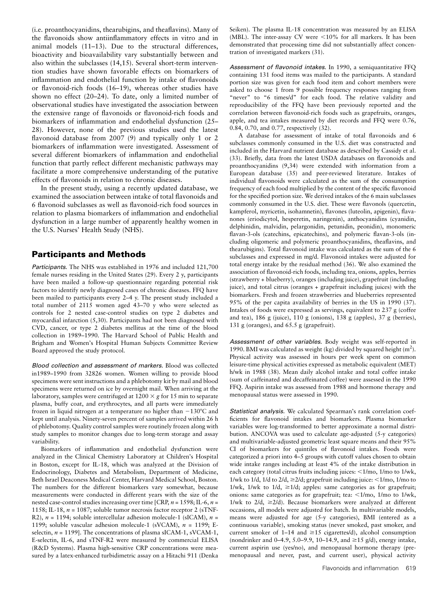(i.e. proanthocyanidins, thearubigins, and theaflavins). Many of the flavonoids show antiinflammatory effects in vitro and in animal models (11–13). Due to the structural differences, bioactivity and bioavailability vary substantially between and also within the subclasses (14,15). Several short-term intervention studies have shown favorable effects on biomarkers of inflammation and endothelial function by intake of flavonoids or flavonoid-rich foods (16–19), whereas other studies have shown no effect (20–24). To date, only a limited number of observational studies have investigated the association between the extensive range of flavonoids or flavonoid-rich foods and biomarkers of inflammation and endothelial dysfunction (25– 28). However, none of the previous studies used the latest flavonoid database from 2007 (9) and typically only 1 or 2 biomarkers of inflammation were investigated. Assessment of several different biomarkers of inflammation and endothelial function that partly reflect different mechanistic pathways may facilitate a more comprehensive understanding of the putative effects of flavonoids in relation to chronic diseases.

In the present study, using a recently updated database, we examined the association between intake of total flavonoids and 6 flavonoid subclasses as well as flavonoid-rich food sources in relation to plasma biomarkers of inflammation and endothelial dysfunction in a large number of apparently healthy women in the U.S. Nurses' Health Study (NHS).

#### Participants and Methods

Participants. The NHS was established in 1976 and included 121,700 female nurses residing in the United States (29). Every 2 y, participants have been mailed a follow-up questionnaire regarding potential risk factors to identify newly diagnosed cases of chronic diseases. FFQ have been mailed to participants every 2–4 y. The present study included a total number of 2115 women aged 43–70 y who were selected as controls for 2 nested case-control studies on type 2 diabetes and myocardial infarction (5,30). Participants had not been diagnosed with CVD, cancer, or type 2 diabetes mellitus at the time of the blood collection in 1989–1990. The Harvard School of Public Health and Brigham and Women's Hospital Human Subjects Committee Review Board approved the study protocol.

Blood collection and assessment of markers. Blood was collected in1989–1990 from 32826 women. Women willing to provide blood specimens were sent instructions and a phlebotomy kit by mail and blood specimens were returned on ice by overnight mail. When arriving at the laboratory, samples were centrifuged at  $1200 \times g$  for 15 min to separate plasma, buffy coat, and erythrocytes, and all parts were immediately frozen in liquid nitrogen at a temperature no higher than  $-130^{\circ}$ C and kept until analysis. Ninety-seven percent of samples arrived within 26 h of phlebotomy. Quality control samples were routinely frozen along with study samples to monitor changes due to long-term storage and assay variability.

Biomarkers of inflammation and endothelial dysfunction were analyzed in the Clinical Chemistry Laboratory at Children's Hospital in Boston, except for IL-18, which was analyzed at the Division of Endocrinology, Diabetes and Metabolism, Department of Medicine, Beth Israel Deaconess Medical Center, Harvard Medical School, Boston. The numbers for the different biomarkers vary somewhat, because measurements were conducted in different years with the size of the nested case-control studies increasing over time [CRP,  $n = 1598$ ; IL-6,  $n =$ 1158; IL-18,  $n = 1087$ ; soluble tumor necrosis factor receptor 2 (sTNF-R2),  $n = 1194$ ; soluble intercellular adhesion molecule-1 (sICAM),  $n =$ 1199; soluble vascular adhesion molecule-1 (sVCAM),  $n = 1199$ ; Eselectin,  $n = 1199$ ]. The concentrations of plasma sICAM-1, sVCAM-1, E-selectin, IL-6, and sTNF-R2 were measured by commercial ELISA (R&D Systems). Plasma high-sensitive CRP concentrations were measured by a latex-enhanced turbidimetric assay on a Hitachi 911 (Denka Seiken). The plasma IL-18 concentration was measured by an ELISA (MBL). The inter-assay CV were  $<$ 10% for all markers. It has been demonstrated that processing time did not substantially affect concentration of investigated markers (31).

Assessment of flavonoid intakes. In 1990, a semiquantitative FFQ containing 131 food items was mailed to the participants. A standard portion size was given for each food item and cohort members were asked to choose 1 from 9 possible frequency responses ranging from "never" to "6 times/d" for each food. The relative validity and reproducibility of the FFQ have been previously reported and the correlation between flavonoid-rich foods such as grapefruits, oranges, apple, and tea intakes measured by diet records and FFQ were 0.76, 0.84, 0.70, and 0.77, respectively (32).

A database for assessment of intake of total flavonoids and 6 subclasses commonly consumed in the U.S. diet was constructed and included in the Harvard nutrient database as described by Cassidy et al. (33). Briefly, data from the latest USDA databases on flavonoids and proanthocyanidins (9,34) were extended with information from a European database (35) and peer-reviewed literature. Intakes of individual flavonoids were calculated as the sum of the consumption frequency of each food multiplied by the content of the specific flavonoid for the specified portion size. We derived intakes of the 6 main subclasses commonly consumed in the U.S. diet. These were flavonols (quercetin, kampferol, myricetin, isohamnetin), flavones (luteolin, apigenin), flavanones (eriodicytol, hesperetin, naringenin), anthocyanidins (cyanidin, delphinidin, malvidin, pelargonidin, petunidin, peonidin), monomeric flavan-3-ols (catechins, epicatechins), and polymeric flavan-3-ols (including oligomeric and polymeric proanthocyanidins, theaflavins, and thearubigins). Total flavonoid intake was calculated as the sum of the 6 subclasses and expressed in mg/d. Flavonoid intakes were adjusted for total energy intake by the residual method (36). We also examined the association of flavonoid-rich foods, including tea, onions, apples, berries (strawberry + blueberry), oranges (including juice), grapefruit (including juice), and total citrus (oranges + grapefruit including juices) with the biomarkers. Fresh and frozen strawberries and blueberries represented 95% of the per capita availability of berries in the US in 1990 (37). Intakes of foods were expressed as servings, equivalent to 237 g (coffee and tea), 186 g (juice), 110 g (onions), 138 g (apples), 37 g (berries), 131 g (oranges), and 65.5 g (grapefruit).

Assessment of other variables. Body weight was self-reported in 1990. BMI was calculated as weight (kg) divided by squared height  $(m^2)$ . Physical activity was assessed in hours per week spent on common leisure-time physical activities expressed as metabolic equivalent (MET) h/wk in 1988 (38). Mean daily alcohol intake and total coffee intake (sum of caffeinated and decaffeinated coffee) were assessed in the 1990 FFQ. Aspirin intake was assessed from 1988 and hormone therapy and menopausal status were assessed in 1990.

Statistical analysis. We calculated Spearman's rank correlation coefficients for flavonoid intakes and biomarkers. Plasma biomarker variables were log-transformed to better approximate a normal distribution. ANCOVA was used to calculate age-adjusted (5-y categories) and multivariable-adjusted geometric least square means and their 95% CI of biomarkers for quintiles of flavonoid intakes. Foods were categorized a priori into 4–5 groups with cutoff values chosen to obtain wide intake ranges including at least 4% of the intake distribution in each category (total citrus fruits including juices:  $\leq 1/mo$ ,  $1/mo$  to  $1/wk$ , 1/wk to 1/d, 1/d to 2/d,  $\geq$  2/d; grapefruit including juice: <1/mo, 1/mo to 1/wk, 1/wk to 1/d,  $\geq$ 1/d; apples: same categories as for grapefruit; onions: same categories as for grapefruit; tea:  $\langle 1/mo, 1/mo$  to  $1/wk$ , 1/wk to  $2/d$ ,  $\geq 2/d$ ). Because biomarkers were analyzed at different occasions, all models were adjusted for batch. In multivariable models, means were adjusted for age (5-y categories), BMI (entered as a continuous variable), smoking status (never smoked, past smoker, and current smoker of 1–14 and  $\geq$ 15 cigarettes/d), alcohol consumption (nondrinker and 0–4.9, 5.0–9.9, 10–14.9, and  $\geq$ 15 g/d), energy intake, current aspirin use (yes/no), and menopausal hormone therapy (premenopausal and never, past, and current user), physical activity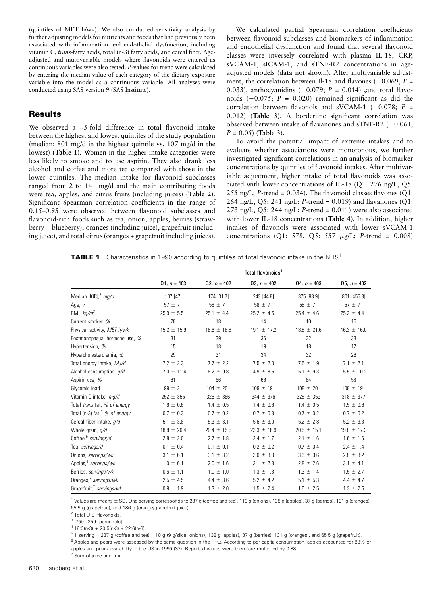(quintiles of MET h/wk). We also conducted sensitivity analysis by further adjusting models for nutrients and foods that had previously been associated with inflammation and endothelial dysfunction, including vitamin C, trans-fatty acids, total (n-3) fatty acids, and cereal fiber. Ageadjusted and multivariable models where flavonoids were entered as continuous variables were also tested. P-values for trend were calculated by entering the median value of each category of the dietary exposure variable into the model as a continuous variable. All analyses were conducted using SAS version 9 (SAS Institute).

#### Results

We observed a  $\approx$  5-fold difference in total flavonoid intake between the highest and lowest quintiles of the study population (median: 801 mg/d in the highest quintile vs. 107 mg/d in the lowest) (Table 1). Women in the higher intake categories were less likely to smoke and to use aspirin. They also drank less alcohol and coffee and more tea compared with those in the lower quintiles. The median intake for flavonoid subclasses ranged from 2 to 141 mg/d and the main contributing foods were tea, apples, and citrus fruits (including juices) (Table 2). Significant Spearman correlation coefficients in the range of 0.15–0.95 were observed between flavonoid subclasses and flavonoid-rich foods such as tea, onion, apples, berries (strawberry + blueberry), oranges (including juice), grapefruit (including juice), and total citrus (oranges + grapefruit including juices).

We calculated partial Spearman correlation coefficients between flavonoid subclasses and biomarkers of inflammation and endothelial dysfunction and found that several flavonoid classes were inversely correlated with plasma IL-18, CRP, sVCAM-1, sICAM-1, and sTNF-R2 concentrations in ageadjusted models (data not shown). After multivariable adjustment, the correlation between Il-18 and flavones  $(-0.069; P =$ 0.033), anthocyanidins  $(-0.079; P = 0.014)$ , and total flavonoids  $(-0.075; P = 0.020)$  remained significant as did the correlation between flavonols and sVCAM-1 ( $-0.078$ ; P = 0.012) (Table 3). A borderline significant correlation was observed between intake of flavanones and sTNF-R2  $(-0.061;$  $P = 0.05$ ) (Table 3).

To avoid the potential impact of extreme intakes and to evaluate whether associations were monotonous, we further investigated significant correlations in an analysis of biomarker concentrations by quintiles of flavonoid intakes. After multivariable adjustment, higher intake of total flavonoids was associated with lower concentrations of IL-18 (Q1: 276 ng/L, Q5: 255 ng/L; P-trend =  $0.034$ ). The flavonoid classes flavones (Q1: 264 ng/L, Q5: 241 ng/L; P-trend =  $0.019$ ) and flavanones (Q1: 273 ng/L,  $Q5: 244$  ng/L; P-trend = 0.011) were also associated with lower IL-18 concentrations (Table 4). In addition, higher intakes of flavonols were associated with lower sVCAM-1 concentrations (Q1: 578, Q5: 557  $\mu$ g/L; P-trend = 0.008)

**TABLE 1** Characteristics in 1990 according to quintiles of total flavonoid intake in the NHS<sup>1</sup>

|                                           |                 |                 | Total flavonoids <sup>2</sup> |                 |                 |
|-------------------------------------------|-----------------|-----------------|-------------------------------|-----------------|-----------------|
|                                           | $Q1, n = 403$   | $Q2, n = 402$   | $03, n = 402$                 | $Q4, n = 403$   | $Q5, n = 402$   |
| Median [IQR], <sup>3</sup> mg/d           | 107 [47]        | 174 [31.7]      | 243 [44.8]                    | 375 [88.9]      | 801 [455.3]     |
| Age, $y$                                  | $57 \pm 7$      | $58 \pm 7$      | $58 \pm 7$                    | $58 \pm 7$      | $57 \pm 7$      |
| BMI, $kg/m^2$                             | $25.9 \pm 5.5$  | $25.1 \pm 4.4$  | $25.2 \pm 4.5$                | $25.4 \pm 4.6$  | $25.2 \pm 4.4$  |
| Current smoker, %                         | 28              | 18              | 14                            | 10              | 15              |
| Physical activity, MET h/wk               | $15.2 \pm 15.9$ | $18.6 \pm 18.8$ | $19.1 \pm 17.2$               | $18.8 \pm 21.6$ | $16.3 \pm 16.0$ |
| Postmenopasual hormone use, %             | 31              | 39              | 36                            | 32              | 33              |
| Hypertension, %                           | 15              | 18              | 19                            | 18              | 17              |
| Hypercholesterolemia, %                   | 29              | 31              | 34                            | 32              | 26              |
| Total energy intake, MJ/d                 | $7.2 \pm 2.3$   | $7.7 \pm 2.2$   | $7.5 \pm 2.0$                 | $7.5 \pm 1.9$   | $7.1 \pm 2.1$   |
| Alcohol consumption, g/d                  | $7.0 \pm 11.4$  | $6.2 \pm 9.8$   | $4.9 \pm 8.5$                 | $5.1 \pm 9.3$   | $5.5 \pm 10.2$  |
| Aspirin use, %                            | 61              | 66              | 66                            | 64              | 58              |
| Glycemic load                             | $99 \pm 21$     | $104 \pm 20$    | $109 \pm 19$                  | $108 \pm 20$    | $108 \pm 19$    |
| Vitamin C intake, mg/d                    | $252 \pm 355$   | $326 \pm 366$   | $344 \pm 376$                 | $328 \pm 359$   | $318 \pm 377$   |
| Total trans fat, % of energy              | $1.6 \pm 0.6$   | $1.4 \pm 0.5$   | $1.4 \pm 0.6$                 | $1.4 \pm 0.5$   | $1.5 \pm 0.6$   |
| Total (n-3) fat, <sup>4</sup> % of energy | $0.7 \pm 0.3$   | $0.7 \pm 0.2$   | $0.7 \pm 0.3$                 | $0.7 \pm 0.2$   | $0.7 \pm 0.2$   |
| Cereal fiber intake, g/d                  | $5.1 \pm 3.8$   | $5.3 \pm 3.1$   | $5.6 \pm 3.0$                 | $5.2 \pm 2.8$   | $5.2 \pm 3.3$   |
| Whole grain, g/d                          | $18.8 \pm 20.4$ | $20.4 \pm 15.5$ | $23.3 \pm 16.9$               | $20.5 \pm 15.1$ | $19.8 \pm 17.3$ |
| Coffee, <sup>5</sup> servings/d           | $2.8 \pm 2.0$   | $2.7 \pm 1.8$   | $2.4 \pm 1.7$                 | $2.1 \pm 1.6$   | $1.6 \pm 1.6$   |
| Tea, servings/d                           | $0.1 \pm 0.4$   | $0.1 \pm 0.1$   | $0.2 \pm 0.2$                 | $0.7 \pm 0.4$   | $2.4 \pm 1.4$   |
| Onions, servings/wk                       | $3.1 \pm 6.1$   | $3.1 \pm 3.2$   | $3.0 \pm 3.0$                 | $3.3 \pm 3.6$   | $2.8 \pm 3.2$   |
| Apples, <sup>6</sup> servings/wk          | $1.0 \pm 6.1$   | $2.0 \pm 1.6$   | $3.1 \pm 2.3$                 | $2.8 \pm 2.6$   | $3.1 \pm 4.1$   |
| Berries, servings/wk                      | $0.6 \pm 1.1$   | $1.0 \pm 1.0$   | $1.3 \pm 1.3$                 | $1.3 \pm 1.4$   | $1.5 \pm 2.7$   |
| Oranges, <sup>7</sup> servings/wk         | $2.5 \pm 4.5$   | $4.4 \pm 3.6$   | $5.2 \pm 4.2$                 | $5.1 \pm 5.3$   | $4.4 \pm 4.7$   |
| Grapefruit, <sup>7</sup> servings/wk      | $0.9 \pm 1.9$   | $1.3 \pm 2.0$   | $1.5 \pm 2.4$                 | $1.6 \pm 2.5$   | $1.3 \pm 2.5$   |

<sup>1</sup> Values are means ± SD. One serving corresponds to 237 g (coffee and tea), 110 g (onions), 138 g (apples), 37 g (berries), 131 g (oranges), 65.5 g (grapefruit), and 186 g (orange/grapefruit juice).

<sup>2</sup> Total U.S. flavonoids.

<sup>3</sup> [75th–25th percentile].

 $4$  18:3(n-3) + 20:5(n-3) + 22:6(n-3).

 $51$  serving = 237 g (coffee and tea), 110 g (9 g/slice, onions), 138 g (apples), 37 g (berries), 131 g (oranges), and 65.5 g (grapefruit).

<sup>6</sup> Apples and pears were assessed by the same question in the FFQ. According to per capita consumption, apples accounted for 88% of apples and pears availability in the US in 1990 (37). Reported values were therefore multiplied by 0.88.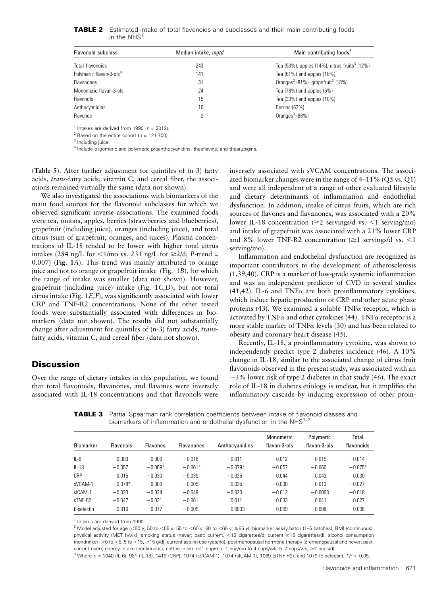| <b>TABLE 2</b> Estimated intake of total flavonoids and subclasses and their main contributing foods |  |  |  |
|------------------------------------------------------------------------------------------------------|--|--|--|
| in the NHS <sup>1</sup>                                                                              |  |  |  |

| <b>Flavonoid subclass</b>           | Median intake, mg/d | Main contributing foods <sup>2</sup>                      |  |  |
|-------------------------------------|---------------------|-----------------------------------------------------------|--|--|
| Total flavonoids                    | 243                 | Tea (53%), apples (14%), citrus fruits <sup>3</sup> (12%) |  |  |
| Polymeric flavan-3-ols <sup>4</sup> | 141                 | Tea $(61\%)$ and apples $(18\%)$                          |  |  |
| Flavanones                          | 31                  | Oranges <sup>3</sup> (81%), grapefruit <sup>3</sup> (18%) |  |  |
| Monomeric flavan-3-ols              | 24                  | Tea $(78%)$ and apples $(6%)$                             |  |  |
| <b>Flavonols</b>                    | 15                  | Tea (33%) and apples (10%)                                |  |  |
| Anthocyanidins                      | 10                  | Berries (62%)                                             |  |  |
| Flavones                            | 2                   | Oranges $3(68%)$                                          |  |  |

<sup>1</sup> Intakes are derived from 1990 ( $n = 2012$ ).

<sup>2</sup> Based on the entire cohort ( $n = 121,700$ ).

<sup>3</sup> Including juice.

<sup>4</sup> Include oligomeric and polymeric proanthocyanidins, theaflavins, and thearubigins.

(Table 5). After further adjustment for quintiles of (n-3) fatty acids, trans-fatty acids, vitamin C, and cereal fiber, the associations remained virtually the same (data not shown).

We also investigated the associations with biomarkers of the main food sources for the flavonoid subclasses for which we observed significant inverse associations. The examined foods were tea, onions, apples, berries (strawberries and blueberries), grapefruit (including juice), oranges (including juice), and total citrus (sum of grapefruit, oranges, and juices). Plasma concentrations of IL-18 tended to be lower with higher total citrus intakes (284 ng/L for  $\lt 1$ /mo vs. 231 ng/L for  $\ge 2$ /d; P-trend = 0.007) (Fig. 1A). This trend was mainly attributed to orange juice and not to orange or grapefruit intake (Fig. 1B), for which the range of intake was smaller (data not shown). However, grapefruit (including juice) intake (Fig. 1C,D), but not total citrus intake (Fig. 1E,F), was significantly associated with lower CRP and TNF-R2 concentrations. None of the other tested foods were substantially associated with differences in biomarkers (data not shown). The results did not substantially change after adjustment for quintiles of (n-3) fatty acids, transfatty acids, vitamin C, and cereal fiber (data not shown).

#### **Discussion**

Over the range of dietary intakes in this population, we found that total flavonoids, flavanones, and flavones were inversely associated with IL-18 concentrations and that flavonols were

inversely associated with sVCAM concentrations. The associated biomarker changes were in the range of 4–11% (Q5 vs. Q1) and were all independent of a range of other evaluated lifestyle and dietary determinants of inflammation and endothelial dysfunction. In addition, intake of citrus fruits, which are rich sources of flavones and flavanones, was associated with a 20% lower IL-18 concentration ( $\geq$ 2 servings/d vs. <1 serving/mo) and intake of grapefruit was associated with a 21% lower CRP and 8% lower TNF-R2 concentration ( $\geq 1$  servings/d vs. <1 serving/mo).

Inflammation and endothelial dysfunction are recognized as important contributors to the development of atherosclerosis (1,39,40). CRP is a marker of low-grade systemic inflammation and was an independent predictor of CVD in several studies  $(41, 42)$ . IL-6 and TNF $\alpha$  are both proinflammatory cytokines, which induce hepatic production of CRP and other acute phase proteins (43). We examined a soluble  $TNF\alpha$  receptor, which is activated by TNF $\alpha$  and other cytokines (44). TNF $\alpha$  receptor is a more stable marker of TNF $\alpha$  levels (30) and has been related to obesity and coronary heart disease (45).

Recently, IL-18, a proinflammatory cytokine, was shown to independently predict type 2 diabetes incidence (46). A 10% change in IL-18, similar to the associated change of citrus fruit flavonoids observed in the present study, was associated with an  $\sim$ 3% lower risk of type 2 diabetes in that study (46). The exact role of IL-18 in diabetes etiology is unclear, but it amplifies the inflammatory cascade by inducing expression of other proin-

**TABLE 3** Partial Spearman rank correlation coefficients between intake of flavonoid classes and biomarkers of inflammation and endothelial dysfunction in the NHS<sup>1-3</sup>

| <b>Biomarker</b> | <b>Flavonols</b> | <b>Flavones</b> | <b>Flavanones</b> | Anthocyanidins | Monomeric<br>flavan-3-ols | Polymeric<br>flavan-3-ols | Total<br>flavonoids |
|------------------|------------------|-----------------|-------------------|----------------|---------------------------|---------------------------|---------------------|
| $IL-6$           | 0.003            | $-0.009$        | $-0.018$          | $-0.011$       | $-0.012$                  | $-0.015$                  | $-0.014$            |
| $IL-18$          | $-0.057$         | $-0.069*$       | $-0.061*$         | $-0.079*$      | $-0.057$                  | $-0.060$                  | $-0.075*$           |
| CRP              | 0.015            | $-0.030$        | $-0.039$          | $-0.025$       | 0.044                     | 0.043                     | 0.030               |
| sVCAM-1          | $-0.078*$        | $-0.009$        | $-0.005$          | 0.035          | $-0.030$                  | $-0.013$                  | $-0.027$            |
| sICAM-1          | $-0.033$         | $-0.024$        | $-0.049$          | $-0.020$       | $-0.012$                  | $-0.0003$                 | $-0.018$            |
| sTNF-R2          | $-0.047$         | $-0.031$        | $-0.061$          | 0.011          | 0.033                     | 0.041                     | 0.027               |
| E-selectin       | $-0.016$         | 0.017           | $-0.005$          | 0.0003         | 0.009                     | 0.008                     | 0.006               |

<sup>1</sup> Intakes are derived from 1990.

<sup>2</sup> Model adjusted for age (<50 y; 50 to <55 y; 55 to <60 y; 60 to <65 y; ≥65 y), biomarker assay batch (1–5 batches), BMI (continuous), physical activity (MET h/wk), smoking status (never; past; current, <15 cigarettes/d; current ≥15 cigarettes/d), alcohol consumption (nondrinker; >0 to <5, 5 to <15, ≥15 g/d), current aspirin use (yes/no), postmenopausal hormone therapy (premenopausal and never, past, current user), energy intake (continuous), coffee intake  $\ll$ 1 cup/mo, 1 cup/mo to 4 cups/wk, 5–7 cups/wk,  $\geq$ 2 cups/d).

 $3$  Where  $n = 1040$  (IL-6), 981 (IL-18), 1419 (CRP), 1074 (sVCAM-1), 1074 (sICAM-1), 1069 (sTNF-R2), and 1079 (E-selectin).  $*P < 0.05$ .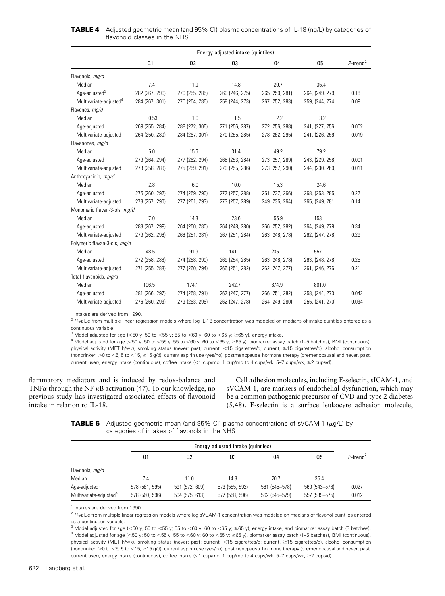|                                    | Energy adjusted intake (quintiles) |                |                |                |                 |                         |
|------------------------------------|------------------------------------|----------------|----------------|----------------|-----------------|-------------------------|
|                                    | Q <sub>1</sub>                     | Q2             | Q3             | 04             | Q <sub>5</sub>  | $P$ -trend <sup>2</sup> |
| Flavonols, mg/d                    |                                    |                |                |                |                 |                         |
| Median                             | 7.4                                | 11.0           | 14.8           | 20.7           | 35.4            |                         |
| Age-adjusted <sup>3</sup>          | 282 (267, 299)                     | 270 (255, 285) | 260 (246, 275) | 265 (250, 281) | 264, (249, 279) | 0.18                    |
| Multivariate-adjusted <sup>4</sup> | 284 (267, 301)                     | 270 (254, 286) | 258 (244, 273) | 267 (252, 283) | 259, (244, 274) | 0.09                    |
| Flavones, mg/d                     |                                    |                |                |                |                 |                         |
| Median                             | 0.53                               | 1.0            | 1.5            | 2.2            | 3.2             |                         |
| Age-adjusted                       | 269 (255, 284)                     | 288 (272, 306) | 271 (256, 287) | 272 (256, 288) | 241, (227, 256) | 0.002                   |
| Multivariate-adjusted              | 264 (250, 280)                     | 284 (267, 301) | 270 (255, 285) | 278 (262, 295) | 241, (226, 256) | 0.019                   |
| Flavanones, mg/d                   |                                    |                |                |                |                 |                         |
| Median                             | 5.0                                | 15.6           | 31.4           | 49.2           | 79.2            |                         |
| Age-adjusted                       | 279 (264, 294)                     | 277 (262, 294) | 268 (253, 284) | 273 (257, 289) | 243, (229, 258) | 0.001                   |
| Multivariate-adjusted              | 273 (258, 289)                     | 275 (259, 291) | 270 (255, 286) | 273 (257, 290) | 244, (230, 260) | 0.011                   |
| Anthocyanidin, mg/d                |                                    |                |                |                |                 |                         |
| Median                             | 2.8                                | 6.0            | 10.0           | 15.3           | 24.6            |                         |
| Age-adjusted                       | 275 (260, 292)                     | 274 (259, 290) | 272 (257, 288) | 251 (237, 266) | 268, (253, 285) | 0.22                    |
| Multivariate-adjusted              | 273 (257, 290)                     | 277 (261, 293) | 273 (257, 289) | 249 (235, 264) | 265, (249, 281) | 0.14                    |
| Monomeric flavan-3-ols, mg/d       |                                    |                |                |                |                 |                         |
| Median                             | 7.0                                | 14.3           | 23.6           | 55.9           | 153             |                         |
| Age-adjusted                       | 283 (267, 299)                     | 264 (250, 280) | 264 (248, 280) | 266 (252, 282) | 264, (249, 279) | 0.34                    |
| Multivariate-adjusted              | 279 (262, 296)                     | 266 (251, 281) | 267 (251, 284) | 263 (248, 278) | 262, (247, 278) | 0.29                    |
| Polymeric flavan-3-ols, mg/d       |                                    |                |                |                |                 |                         |
| Median                             | 48.5                               | 91.9           | 141            | 235            | 557             |                         |
| Age-adjusted                       | 272 (258, 288)                     | 274 (258, 290) | 269 (254, 285) | 263 (248, 278) | 263, (248, 278) | 0.25                    |
| Multivariate-adjusted              | 271 (255, 288)                     | 277 (260, 294) | 266 (251, 282) | 262 (247, 277) | 261, (246, 276) | 0.21                    |
| Total flavonoids, mg/d             |                                    |                |                |                |                 |                         |
| Median                             | 106.5                              | 174.1          | 242.7          | 374.9          | 801.0           |                         |
| Age-adjusted                       | 281 (266, 297)                     | 274 (258, 291) | 262 (247, 277) | 266 (251, 282) | 258, (244, 273) | 0.042                   |
| Multivariate-adjusted              | 276 (260, 293)                     | 279 (263, 296) | 262 (247, 278) | 264 (249, 280) | 255, (241, 270) | 0.034                   |

**TABLE 4** Adjusted geometric mean (and 95% CI) plasma concentrations of IL-18 (ng/L) by categories of flavonoid classes in the  $NHS<sup>1</sup>$ 

 $<sup>1</sup>$  Intakes are derived from 1990.</sup>

 $2$  P-value from multiple linear regression models where log IL-18 concentration was modeled on medians of intake quintiles entered as a continuous variable.

<sup>3</sup> Model adjusted for age (<50 y; 50 to <55 y; 55 to <60 y; 60 to <65 y;  $\geq$ 65 y), energy intake.

4 Model adjusted for age (<50 y; 50 to <55 y; 55 to <60 y; 60 to <65 y;  $\geq$ 65 y), biomarker assay batch (1–5 batches), BMI (continuous), physical activity (MET h/wk), smoking status (never; past; current, <15 cigarettes/d; current, ≥15 cigarettes/d), alcohol consumption (nondrinker;  $>$  0 to <5, 5 to <15,  $\ge$  15 g/d), current aspirin use (yes/no), postmenopausal hormone therapy (premenopausal and never, past, current user), energy intake (continuous), coffee intake (<1 cup/mo, 1 cup/mo to 4 cups/wk, 5–7 cups/wk, ≥2 cups/d).

flammatory mediators and is induced by redox-balance and TNF $\alpha$  through the NF- $\kappa$ B activation (47). To our knowledge, no previous study has investigated associated effects of flavonoid intake in relation to IL-18.

Cell adhesion molecules, including E-selectin, sICAM-1, and sVCAM-1, are markers of endothelial dysfunction, which may be a common pathogenic precursor of CVD and type 2 diabetes (5,48). E-selectin is a surface leukocyte adhesion molecule,

**TABLE 5** Adjusted geometric mean (and 95% CI) plasma concentrations of sVCAM-1 ( $\mu$ g/L) by categories of intakes of flavonols in the NHS<sup>1</sup>

|                                                                 |                                  | Energy adjusted intake (quintiles) |                                  |                                |                                |                         |  |
|-----------------------------------------------------------------|----------------------------------|------------------------------------|----------------------------------|--------------------------------|--------------------------------|-------------------------|--|
|                                                                 | 01                               | 02                                 | 03                               | 04                             | 0.5                            | $P$ -trend <sup>2</sup> |  |
| Flavonols, mg/d                                                 |                                  |                                    |                                  |                                |                                |                         |  |
| Median                                                          | 7.4                              | 11.0                               | 14.8                             | 20.7                           | 35.4                           |                         |  |
| Age-adjusted <sup>3</sup><br>Multivariate-adjusted <sup>4</sup> | 578 (561, 595)<br>578 (560, 596) | 591 (572, 609)<br>594 (575, 613)   | 573 (555, 592)<br>577 (558, 596) | 561 (545-578)<br>562 (545-579) | 560 (543-578)<br>557 (539-575) | 0.027<br>0.012          |  |

<sup>1</sup> Intakes are derived from 1990.

<sup>2</sup> P-value from multiple linear regression models where log sVCAM-1 concentration was modeled on medians of flavonol quintiles entered as a continuous variable.

<sup>3</sup> Model adjusted for age (<50 y; 50 to <55 y; 55 to <60 y; 60 to <65 y;  $\geq$ 65 y), energy intake, and biomarker assay batch (3 batches).  $^4$  Model adjusted for age (<50 y; 50 to <55 y; 55 to <60 y; 60 to <65 y;  $\geq$ 65 y), biomarker assay batch (1–5 batches), BMI (continuous), physical activity (MET h/wk), smoking status (never; past; current, <15 cigarettes/d; current, ≥15 cigarettes/d), alcohol consumption (nondrinker; >0 to <5, 5 to <15, ≥15 g/d), current aspirin use (yes/no), postmenopausal hormone therapy (premenopausal and never, past, current user), energy intake (continuous), coffee intake (<1 cup/mo, 1 cup/mo to 4 cups/wk, 5–7 cups/wk, ≥2 cups/d).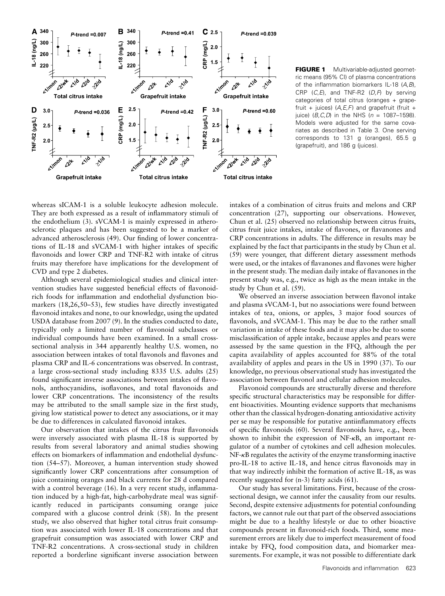

FIGURE 1 Multivariable-adjusted geometric means (95% CI) of plasma concentrations of the inflammation biomarkers IL-18 (A, B), CRP  $(C, E)$ , and TNF-R2  $(D, F)$  by serving categories of total citrus (oranges + grapefruit + juices)  $(A, E, F)$  and grapefruit (fruit + juice) ( $B, C, D$ ) in the NHS ( $n = 1087 - 1598$ ). Models were adjusted for the same covariates as described in Table 3. One serving corresponds to 131 g (oranges), 65.5 g (grapefruit), and 186 g (juices).

whereas sICAM-1 is a soluble leukocyte adhesion molecule. They are both expressed as a result of inflammatory stimuli of the endothelium (3). sVCAM-1 is mainly expressed in atherosclerotic plaques and has been suggested to be a marker of advanced atherosclerosis (49). Our finding of lower concentrations of IL-18 and sVCAM-1 with higher intakes of specific flavonoids and lower CRP and TNF-R2 with intake of citrus fruits may therefore have implications for the development of CVD and type 2 diabetes.

Although several epidemiological studies and clinical intervention studies have suggested beneficial effects of flavonoidrich foods for inflammation and endothelial dysfunction biomarkers (18,26,50–53), few studies have directly investigated flavonoid intakes and none, to our knowledge, using the updated USDA database from 2007 (9). In the studies conducted to date, typically only a limited number of flavonoid subclasses or individual compounds have been examined. In a small crosssectional analysis in 344 apparently healthy U.S. women, no association between intakes of total flavonols and flavones and plasma CRP and IL-6 concentrations was observed. In contrast, a large cross-sectional study including 8335 U.S. adults (25) found significant inverse associations between intakes of flavonols, anthocyanidins, isoflavones, and total flavonoids and lower CRP concentrations. The inconsistency of the results may be attributed to the small sample size in the first study, giving low statistical power to detect any associations, or it may be due to differences in calculated flavonoid intakes.

Our observation that intakes of the citrus fruit flavonoids were inversely associated with plasma IL-18 is supported by results from several laboratory and animal studies showing effects on biomarkers of inflammation and endothelial dysfunction (54–57). Moreover, a human intervention study showed significantly lower CRP concentrations after consumption of juice containing oranges and black currents for 28 d compared with a control beverage (16). In a very recent study, inflammation induced by a high-fat, high-carbohydrate meal was significantly reduced in participants consuming orange juice compared with a glucose control drink (58). In the present study, we also observed that higher total citrus fruit consumption was associated with lower IL-18 concentrations and that grapefruit consumption was associated with lower CRP and TNF-R2 concentrations. A cross-sectional study in children reported a borderline significant inverse association between

intakes of a combination of citrus fruits and melons and CRP concentration (27), supporting our observations. However, Chun et al. (25) observed no relationship between citrus fruits, citrus fruit juice intakes, intake of flavones, or flavanones and CRP concentrations in adults. The difference in results may be explained by the fact that participants in the study by Chun et al. (59) were younger, that different dietary assessment methods were used, or the intakes of flavanones and flavones were higher in the present study. The median daily intake of flavanones in the present study was, e.g., twice as high as the mean intake in the study by Chun et al. (59).

We observed an inverse association between flavonol intake and plasma sVCAM-1, but no associations were found between intakes of tea, onions, or apples, 3 major food sources of flavonols, and sVCAM-1. This may be due to the rather small variation in intake of these foods and it may also be due to some misclassification of apple intake, because apples and pears were assessed by the same question in the FFQ, although the per capita availability of apples accounted for 88% of the total availability of apples and pears in the US in 1990 (37). To our knowledge, no previous observational study has investigated the association between flavonol and cellular adhesion molecules.

Flavonoid compounds are structurally diverse and therefore specific structural characteristics may be responsible for different bioactivities. Mounting evidence supports that mechanisms other than the classical hydrogen-donating antioxidative activity per se may be responsible for putative antiinflammatory effects of specific flavonoids (60). Several flavonoids have, e.g., been shown to inhibit the expression of NF-kB, an important regulator of a number of cytokines and cell adhesion molecules.  $NF- $\kappa$ B$  regulates the activity of the enzyme transforming inactivepro-IL-18 to active IL-18, and hence citrus flavonoids may in that way indirectly inhibit the formation of active IL-18, as was recently suggested for (n-3) fatty acids (61).

Our study has several limitations. First, because of the crosssectional design, we cannot infer the causality from our results. Second, despite extensive adjustments for potential confounding factors, we cannot rule out that part of the observed associations might be due to a healthy lifestyle or due to other bioactive compounds present in flavonoid-rich foods. Third, some measurement errors are likely due to imperfect measurement of food intake by FFQ, food composition data, and biomarker measurements. For example, it was not possible to differentiate dark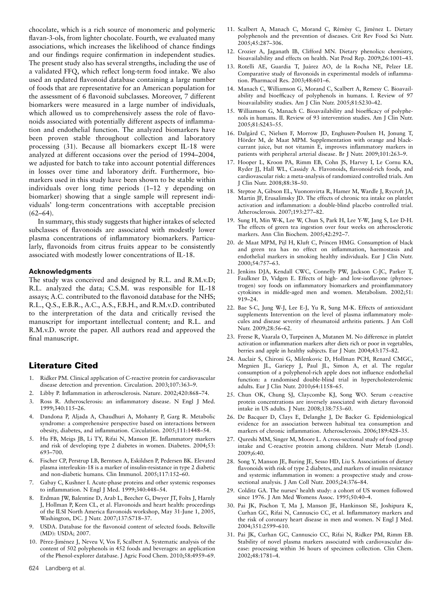chocolate, which is a rich source of monomeric and polymeric flavan-3-ols, from lighter chocolate. Fourth, we evaluated many associations, which increases the likelihood of chance findings and our findings require confirmation in independent studies. The present study also has several strengths, including the use of a validated FFQ, which reflect long-term food intake. We also used an updated flavonoid database containing a large number of foods that are representative for an American population for the assessment of 6 flavonoid subclasses. Moreover, 7 different biomarkers were measured in a large number of individuals, which allowed us to comprehensively assess the role of flavonoids associated with potentially different aspects of inflammation and endothelial function. The analyzed biomarkers have been proven stable throughout collection and laboratory processing (31). Because all biomarkers except IL-18 were analyzed at different occasions over the period of 1994–2004, we adjusted for batch to take into account potential differences in losses over time and laboratory drift. Furthermore, biomarkers used in this study have been shown to be stable within individuals over long time periods (1–12 y depending on biomarker) showing that a single sample will represent individuals' long-term concentrations with acceptable precision  $(62–64)$ .

In summary, this study suggests that higher intakes of selected subclasses of flavonoids are associated with modestly lower plasma concentrations of inflammatory biomarkers. Particularly, flavonoids from citrus fruits appear to be consistently associated with modestly lower concentrations of IL-18.

#### Acknowledgments

The study was conceived and designed by R.L. and R.M.v.D; R.L. analyzed the data; C.S.M. was responsible for IL-18 assays; A.C. contributed to the flavonoid database for the NHS; R.L., Q.S., E.B.R., A.C., A.S., F.B.H., and R.M.v.D. contributed to the interpretation of the data and critically revised the manuscript for important intellectual content; and R.L. and R.M.v.D. wrote the paper. All authors read and approved the final manuscript.

#### Literature Cited

- 1. Ridker PM. Clinical application of C-reactive protein for cardiovascular disease detection and prevention. Circulation. 2003;107:363–9.
- 2. Libby P. Inflammation in atherosclerosis. Nature. 2002;420:868–74.
- 3. Ross R. Atherosclerosis: an inflammatory disease. N Engl J Med. 1999;340:115–26.
- 4. Dandona P, Aljada A, Chaudhuri A, Mohanty P, Garg R. Metabolic syndrome: a comprehensive perspective based on interactions between obesity, diabetes, and inflammation. Circulation. 2005;111:1448–54.
- 5. Hu FB, Meigs JB, Li TY, Rifai N, Manson JE. Inflammatory markers and risk of developing type 2 diabetes in women. Diabetes. 2004;53: 693–700.
- 6. Fischer CP, Perstrup LB, Berntsen A, Eskildsen P, Pedersen BK. Elevated plasma interleukin-18 is a marker of insulin-resistance in type 2 diabetic and non-diabetic humans. Clin Immunol. 2005;117:152–60.
- 7. Gabay C, Kushner I. Acute-phase proteins and other systemic responses to inflammation. N Engl J Med. 1999;340:448–54.
- 8. Erdman JW, Balentine D, Arab L, Beecher G, Dwyer JT, Folts J, Harnly J, Hollman P, Keen CL, et al. Flavonoids and heart health: proceedings of the ILSI North America flavonoids workshop, May 31-June 1, 2005, Washington, DC. J Nutr. 2007;137:S718–37.
- 9. USDA. Database for the flavonoid content of selected foods. Beltsville (MD): USDA; 2007.
- 10. Pérez-Jiménez J, Neveu V, Vos F, Scalbert A. Systematic analysis of the content of 502 polyphenols in 452 foods and beverages: an application of the Phenol-explorer database. J Agric Food Chem. 2010;58:4959–69.
- 11. Scalbert A, Manach C, Morand C, Rémésy C, Jiménez L. Dietary polyphenols and the prevention of diseases. Crit Rev Food Sci Nutr. 2005;45:287–306.
- 12. Crozier A, Jaganath IB, Clifford MN. Dietary phenolics: chemistry, bioavailability and effects on health. Nat Prod Rep. 2009;26:1001–43.
- 13. Rotelli AE, Guardia T, Juárez AO, de la Rocha NE, Pelzer LE. Comparative study of flavonoids in experimental models of inflammation. Pharmacol Res. 2003;48:601–6.
- 14. Manach C, Williamson G, Morand C, Scalbert A, Remesy C. Bioavailability and bioefficacy of polyphenols in humans. I. Review of 97 bioavailability studies. Am J Clin Nutr. 2005;81:S230–42.
- 15. Williamson G, Manach C. Bioavailability and bioefficacy of polyphenols in humans. II. Review of 93 intervention studies. Am J Clin Nutr. 2005;81:S243–55.
- 16. Dalgård C, Nielsen F, Morrow JD, Enghusen-Poulsen H, Jonung T, Hörder M, de Maat MPM. Supplementation with orange and blackcurrant juice, but not vitamin E, improves inflammatory markers in patients with peripheral arterial disease. Br J Nutr. 2009;101:263–9.
- 17. Hooper L, Kroon PA, Rimm EB, Cohn JS, Harvey I, Le Cornu KA, Ryder JJ, Hall WL, Cassidy A. Flavonoids, flavonoid-rich foods, and cardiovascular risk: a meta-analysis of randomized controlled trials. Am J Clin Nutr. 2008;88:38–50.
- 18. Steptoe A, Gibson EL, Vuononvirta R, Hamer M, Wardle J, Rycroft JA, Martin JF, Erusalimsky JD. The effects of chronic tea intake on platelet activation and inflammation: a double-blind placebo controlled trial. Atherosclerosis. 2007;193:277–82.
- 19. Sung H, Min W-K, Lee W, Chun S, Park H, Lee Y-W, Jang S, Lee D-H. The effects of green tea ingestion over four weeks on atherosclerotic markers. Ann Clin Biochem. 2005;42:292–7.
- 20. de Maat MPM, Pijl H, Kluft C, Princen HMG. Consumption of black and green tea has no effect on inflammation, haemostasis and endothelial markers in smoking healthy individuals. Eur J Clin Nutr. 2000;54:757–63.
- 21. Jenkins DJA, Kendall CWC, Connelly PW, Jackson C-JC, Parker T, Faulkner D, Vidgen E. Effects of high- and low-isoflavone (phytoestrogen) soy foods on inflammatory biomarkers and proinflammatory cytokines in middle-aged men and women. Metabolism. 2002;51: 919–24.
- 22. Bae S-C, Jung W-J, Lee E-J, Yu R, Sung M-K. Effects of antioxidant supplements Intervention on the level of plasma inflammatory molecules and disease severity of rheumatoid arthritis patients. J Am Coll Nutr. 2009;28:56–62.
- 23. Freese R, Vaarala O, Turpeinen A, Mutanen M. No difference in platelet activation or inflammation markers after diets rich or poor in vegetables, berries and apple in healthy subjects. Eur J Nutr. 2004;43:175–82.
- 24. Auclair S, Chironi G, Milenkovic D, Hollman PCH, Renard CMGC, Megnien JL, Gariepy J, Paul JL, Simon A, et al. The regular consumption of a polyphenol-rich apple does not influence endothelial function: a randomised double-blind trial in hypercholesterolemic adults. Eur J Clin Nutr. 2010;64:1158–65.
- 25. Chun OK, Chung SJ, Claycombe KJ, Song WO. Serum c-reactive protein concentrations are inversely associated with dietary flavonoid intake in US adults. J Nutr. 2008;138:753–60.
- 26. De Bacquer D, Clays E, Delanghe J, De Backer G. Epidemiological evidence for an association between habitual tea consumption and markers of chronic inflammation. Atherosclerosis. 2006;189:428–35.
- 27. Qureshi MM, Singer M, Moore L. A cross-sectional study of food group intake and C-reactive protein among children. Nutr Metab (Lond). 2009;6:40.
- 28. Song Y, Manson JE, Buring JE, Sesso HD, Liu S. Associations of dietary flavonoids with risk of type 2 diabetes, and markers of insulin resistance and systemic inflammation in women: a prospective study and crosssectional analysis. J Am Coll Nutr. 2005;24:376–84.
- 29. Colditz GA. The nurses' health study: a cohort of US women followed since 1976. J Am Med Womens Assoc. 1995;50:40–4.
- 30. Pai JK, Pischon T, Ma J, Manson JE, Hankinson SE, Joshipura K, Curhan GC, Rifai N, Cannuscio CC, et al. Inflammatory markers and the risk of coronary heart disease in men and women. N Engl J Med. 2004;351:2599–610.
- 31. Pai JK, Curhan GC, Cannuscio CC, Rifai N, Ridker PM, Rimm EB. Stability of novel plasma markers associated with cardiovascular disease: processing within 36 hours of specimen collection. Clin Chem. 2002;48:1781–4.